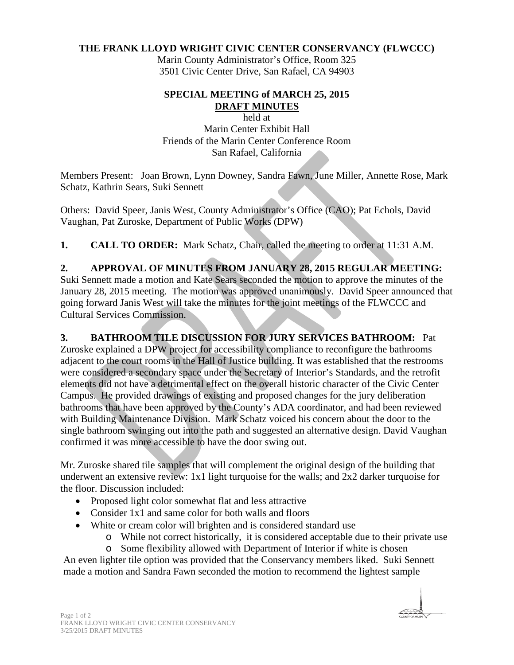#### **THE FRANK LLOYD WRIGHT CIVIC CENTER CONSERVANCY (FLWCCC)**

Marin County Administrator's Office, Room 325 3501 Civic Center Drive, San Rafael, CA 94903

#### **SPECIAL MEETING of MARCH 25, 2015 DRAFT MINUTES**

held at Marin Center Exhibit Hall Friends of the Marin Center Conference Room San Rafael, California

Members Present: Joan Brown, Lynn Downey, Sandra Fawn, June Miller, Annette Rose, Mark Schatz, Kathrin Sears, Suki Sennett

Others: David Speer, Janis West, County Administrator's Office (CAO); Pat Echols, David Vaughan, Pat Zuroske, Department of Public Works (DPW)

**1. CALL TO ORDER:** Mark Schatz, Chair, called the meeting to order at 11:31 A.M.

## **2. APPROVAL OF MINUTES FROM JANUARY 28, 2015 REGULAR MEETING:**

Suki Sennett made a motion and Kate Sears seconded the motion to approve the minutes of the January 28, 2015 meeting. The motion was approved unanimously. David Speer announced that going forward Janis West will take the minutes for the joint meetings of the FLWCCC and Cultural Services Commission.

### **3. BATHROOM TILE DISCUSSION FOR JURY SERVICES BATHROOM:** Pat

Zuroske explained a DPW project for accessibility compliance to reconfigure the bathrooms adjacent to the court rooms in the Hall of Justice building. It was established that the restrooms were considered a secondary space under the Secretary of Interior's Standards, and the retrofit elements did not have a detrimental effect on the overall historic character of the Civic Center Campus. He provided drawings of existing and proposed changes for the jury deliberation bathrooms that have been approved by the County's ADA coordinator, and had been reviewed with Building Maintenance Division. Mark Schatz voiced his concern about the door to the single bathroom swinging out into the path and suggested an alternative design. David Vaughan confirmed it was more accessible to have the door swing out.

Mr. Zuroske shared tile samples that will complement the original design of the building that underwent an extensive review: 1x1 light turquoise for the walls; and 2x2 darker turquoise for the floor. Discussion included:

- Proposed light color somewhat flat and less attractive
- Consider 1x1 and same color for both walls and floors
- White or cream color will brighten and is considered standard use
	- o While not correct historically, it is considered acceptable due to their private use
	- o Some flexibility allowed with Department of Interior if white is chosen

An even lighter tile option was provided that the Conservancy members liked. Suki Sennett made a motion and Sandra Fawn seconded the motion to recommend the lightest sample